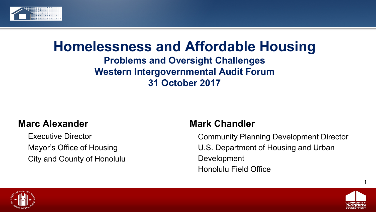

### **Homelessness and Affordable Housing Problems and Oversight Challenges Western Intergovernmental Audit Forum 31 October 2017**

#### **Marc Alexander**

Executive Director Mayor's Office of Housing City and County of Honolulu

### **Mark Chandler**

Community Planning Development Director U.S. Department of Housing and Urban Development Honolulu Field Office



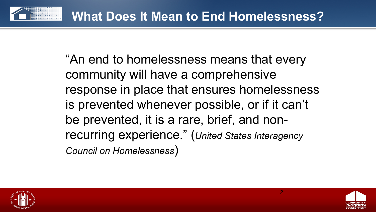

"An end to homelessness means that every community will have a comprehensive response in place that ensures homelessness is prevented whenever possible, or if it can't be prevented, it is a rare, brief, and nonrecurring experience." (*United States Interagency Council on Homelessness*)



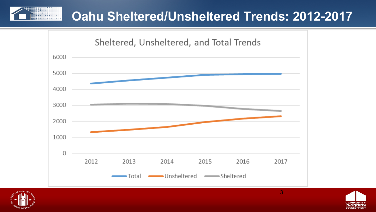## **Oahu Sheltered/Unsheltered Trends: 2012-2017**





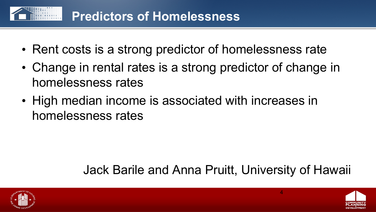

- Rent costs is a strong predictor of homelessness rate
- Change in rental rates is a strong predictor of change in homelessness rates
- High median income is associated with increases in homelessness rates

# Jack Barile and Anna Pruitt, University of Hawaii



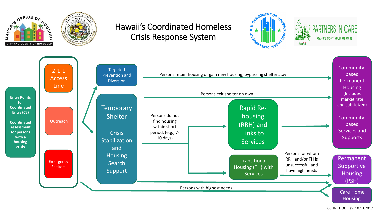

CCHNL HOU Rev. 10.13.2017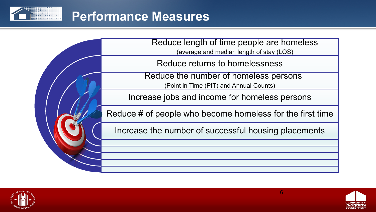







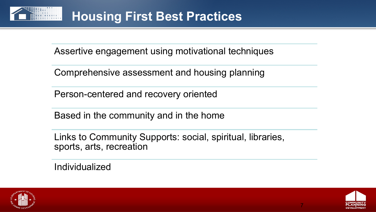

Assertive engagement using motivational techniques

Comprehensive assessment and housing planning

Person-centered and recovery oriented

Based in the community and in the home

Links to Community Supports: social, spiritual, libraries, sports, arts, recreation

Individualized



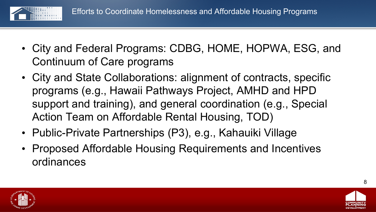

- City and Federal Programs: CDBG, HOME, HOPWA, ESG, and Continuum of Care programs
- City and State Collaborations: alignment of contracts, specific programs (e.g., Hawaii Pathways Project, AMHD and HPD support and training), and general coordination (e.g., Special Action Team on Affordable Rental Housing, TOD)
- Public-Private Partnerships (P3), e.g., Kahauiki Village
- Proposed Affordable Housing Requirements and Incentives ordinances



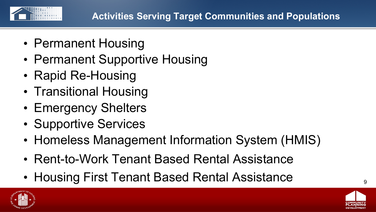

- Permanent Housing
- Permanent Supportive Housing
- Rapid Re-Housing
- Transitional Housing
- Emergency Shelters
- Supportive Services
- Homeless Management Information System (HMIS)
- Rent-to-Work Tenant Based Rental Assistance
- Housing First Tenant Based Rental Assistance  $\int_{9}$



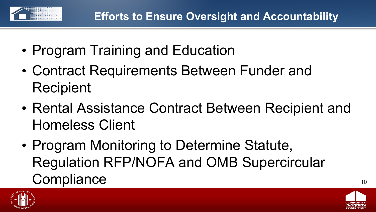

- Program Training and Education
- Contract Requirements Between Funder and **Recipient**
- Rental Assistance Contract Between Recipient and Homeless Client
- Program Monitoring to Determine Statute, Regulation RFP/NOFA and OMB Supercircular Compliance 10



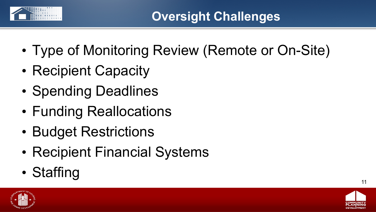

- Type of Monitoring Review (Remote or On-Site)
- Recipient Capacity
- Spending Deadlines
- Funding Reallocations
- Budget Restrictions
- Recipient Financial Systems
- Staffing  $\overline{\phantom{a}}$  11



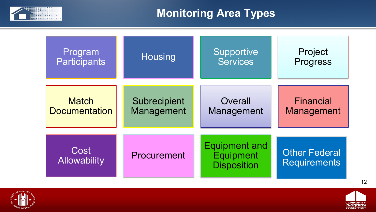

### **Monitoring Area Types**

| Program                     | <b>Housing</b> | Supportive                                                     | Project                                     |
|-----------------------------|----------------|----------------------------------------------------------------|---------------------------------------------|
| <b>Participants</b>         |                | <b>Services</b>                                                | Progress                                    |
| <b>Match</b>                | Subrecipient   | Overall                                                        | <b>Financial</b>                            |
| <b>Documentation</b>        | Management     | Management                                                     | Management                                  |
| Cost<br><b>Allowability</b> | Procurement    | <b>Equipment and</b><br><b>Equipment</b><br><b>Disposition</b> | <b>Other Federal</b><br><b>Requirements</b> |



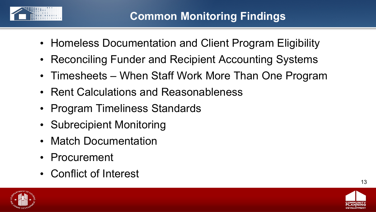

- Homeless Documentation and Client Program Eligibility
- Reconciling Funder and Recipient Accounting Systems
- Timesheets When Staff Work More Than One Program
- Rent Calculations and Reasonableness
- Program Timeliness Standards
- Subrecipient Monitoring
- Match Documentation
- Procurement
- Conflict of Interest



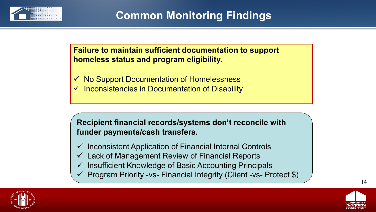

**Failure to maintain sufficient documentation to support homeless status and program eligibility.**

 No Support Documentation of Homelessness Inconsistencies in Documentation of Disability

**Recipient financial records/systems don't reconcile with funder payments/cash transfers.** 

- $\checkmark$  Inconsistent Application of Financial Internal Controls
- $\checkmark$  Lack of Management Review of Financial Reports
- $\checkmark$  Insufficient Knowledge of Basic Accounting Principals
- $\checkmark$  Program Priority -vs- Financial Integrity (Client -vs- Protect \$)



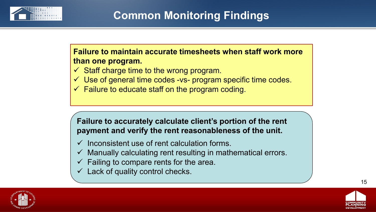

#### **Failure to maintain accurate timesheets when staff work more than one program.**

- $\checkmark$  Staff charge time to the wrong program.
- $\checkmark$  Use of general time codes -vs- program specific time codes.
- $\checkmark$  Failure to educate staff on the program coding.

#### **Failure to accurately calculate client's portion of the rent payment and verify the rent reasonableness of the unit.**

- $\checkmark$  Inconsistent use of rent calculation forms.
- $\checkmark$  Manually calculating rent resulting in mathematical errors.
- $\checkmark$  Failing to compare rents for the area.
- $\checkmark$  Lack of quality control checks.



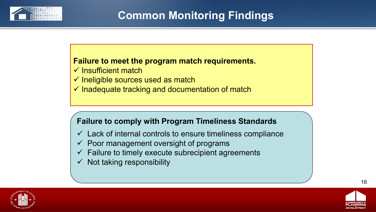

#### **Failure to meet the program match requirements.**

- $\checkmark$  Insufficient match
- $\checkmark$  Ineligible sources used as match
- $\checkmark$  Inadequate tracking and documentation of match

#### **Failure to comply with Program Timeliness Standards**

- $\checkmark$  Lack of internal controls to ensure timeliness compliance
- $\checkmark$  Poor management oversight of programs
- $\checkmark$  Failure to timely execute subrecipient agreements
- $\checkmark$  Not taking responsibility



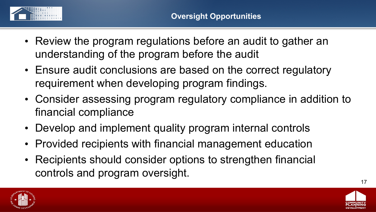

- Review the program regulations before an audit to gather an understanding of the program before the audit
- Ensure audit conclusions are based on the correct regulatory requirement when developing program findings.
- Consider assessing program regulatory compliance in addition to financial compliance
- Develop and implement quality program internal controls
- Provided recipients with financial management education
- Recipients should consider options to strengthen financial controls and program oversight.



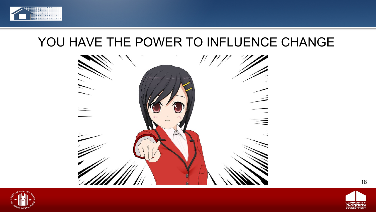

## YOU HAVE THE POWER TO INFLUENCE CHANGE





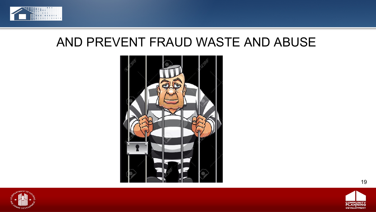

## AND PREVENT FRAUD WASTE AND ABUSE